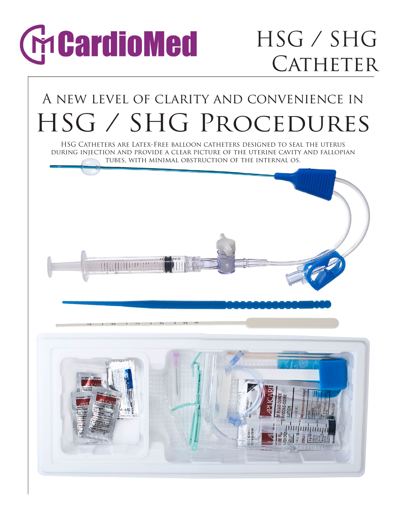# **CheardioMed**

### HSG / SHG CATHETER

### A new level of clarity and convenience in HSG / SHG Procedures

HSG Catheters are Latex-Free balloon catheters designed to seal the uterus during injection and provide a clear picture of the uterine cavity and fallopian tubes, with minimal obstruction of the internal os.